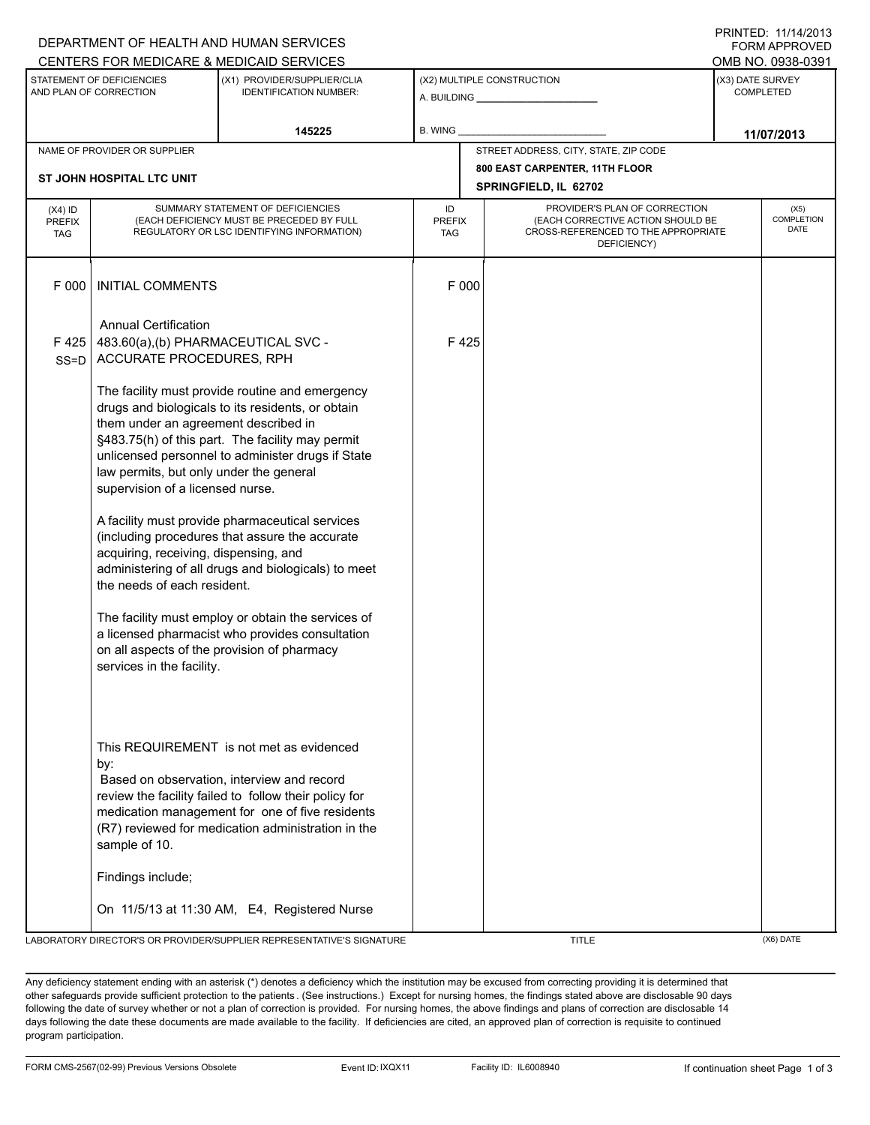| DEPARTMENT OF HEALTH AND HUMAN SERVICES<br><b>FORM APPROVED</b> |                                                                                                                                                                                                   |                                                                                                       |                             |       |                                                                          |                                      |                                  |  |  |
|-----------------------------------------------------------------|---------------------------------------------------------------------------------------------------------------------------------------------------------------------------------------------------|-------------------------------------------------------------------------------------------------------|-----------------------------|-------|--------------------------------------------------------------------------|--------------------------------------|----------------------------------|--|--|
|                                                                 |                                                                                                                                                                                                   | CENTERS FOR MEDICARE & MEDICAID SERVICES                                                              |                             |       |                                                                          |                                      | OMB NO. 0938-0391                |  |  |
| STATEMENT OF DEFICIENCIES<br>AND PLAN OF CORRECTION             |                                                                                                                                                                                                   | (X1) PROVIDER/SUPPLIER/CLIA<br><b>IDENTIFICATION NUMBER:</b>                                          | (X2) MULTIPLE CONSTRUCTION  |       |                                                                          | (X3) DATE SURVEY<br><b>COMPLETED</b> |                                  |  |  |
|                                                                 |                                                                                                                                                                                                   | 145225                                                                                                | <b>B. WING</b>              |       |                                                                          | 11/07/2013                           |                                  |  |  |
|                                                                 | NAME OF PROVIDER OR SUPPLIER                                                                                                                                                                      |                                                                                                       |                             |       | STREET ADDRESS, CITY, STATE, ZIP CODE                                    |                                      |                                  |  |  |
|                                                                 |                                                                                                                                                                                                   |                                                                                                       |                             |       | 800 EAST CARPENTER, 11TH FLOOR                                           |                                      |                                  |  |  |
| ST JOHN HOSPITAL LTC UNIT                                       |                                                                                                                                                                                                   |                                                                                                       |                             |       | SPRINGFIELD, IL 62702                                                    |                                      |                                  |  |  |
| $(X4)$ ID                                                       | SUMMARY STATEMENT OF DEFICIENCIES                                                                                                                                                                 |                                                                                                       |                             |       | PROVIDER'S PLAN OF CORRECTION                                            |                                      | (X5)                             |  |  |
| <b>PREFIX</b><br>TAG                                            | (EACH DEFICIENCY MUST BE PRECEDED BY FULL<br>REGULATORY OR LSC IDENTIFYING INFORMATION)                                                                                                           |                                                                                                       | <b>PREFIX</b><br><b>TAG</b> |       | (EACH CORRECTIVE ACTION SHOULD BE<br>CROSS-REFERENCED TO THE APPROPRIATE |                                      | <b>COMPLETION</b><br><b>DATE</b> |  |  |
|                                                                 |                                                                                                                                                                                                   |                                                                                                       |                             |       | DEFICIENCY)                                                              |                                      |                                  |  |  |
|                                                                 |                                                                                                                                                                                                   |                                                                                                       |                             |       |                                                                          |                                      |                                  |  |  |
| F 000                                                           | <b>INITIAL COMMENTS</b>                                                                                                                                                                           |                                                                                                       |                             | F 000 |                                                                          |                                      |                                  |  |  |
|                                                                 |                                                                                                                                                                                                   |                                                                                                       |                             |       |                                                                          |                                      |                                  |  |  |
|                                                                 | <b>Annual Certification</b>                                                                                                                                                                       |                                                                                                       |                             |       |                                                                          |                                      |                                  |  |  |
| F425                                                            | 483.60(a),(b) PHARMACEUTICAL SVC -                                                                                                                                                                |                                                                                                       |                             | F425  |                                                                          |                                      |                                  |  |  |
| SS=D                                                            | ACCURATE PROCEDURES, RPH                                                                                                                                                                          |                                                                                                       |                             |       |                                                                          |                                      |                                  |  |  |
|                                                                 |                                                                                                                                                                                                   |                                                                                                       |                             |       |                                                                          |                                      |                                  |  |  |
|                                                                 | The facility must provide routine and emergency                                                                                                                                                   |                                                                                                       |                             |       |                                                                          |                                      |                                  |  |  |
|                                                                 | drugs and biologicals to its residents, or obtain                                                                                                                                                 |                                                                                                       |                             |       |                                                                          |                                      |                                  |  |  |
|                                                                 | them under an agreement described in                                                                                                                                                              |                                                                                                       |                             |       |                                                                          |                                      |                                  |  |  |
|                                                                 |                                                                                                                                                                                                   | §483.75(h) of this part. The facility may permit<br>unlicensed personnel to administer drugs if State |                             |       |                                                                          |                                      |                                  |  |  |
|                                                                 | law permits, but only under the general                                                                                                                                                           |                                                                                                       |                             |       |                                                                          |                                      |                                  |  |  |
|                                                                 | supervision of a licensed nurse.                                                                                                                                                                  |                                                                                                       |                             |       |                                                                          |                                      |                                  |  |  |
|                                                                 |                                                                                                                                                                                                   |                                                                                                       |                             |       |                                                                          |                                      |                                  |  |  |
|                                                                 | A facility must provide pharmaceutical services<br>(including procedures that assure the accurate<br>acquiring, receiving, dispensing, and<br>administering of all drugs and biologicals) to meet |                                                                                                       |                             |       |                                                                          |                                      |                                  |  |  |
|                                                                 |                                                                                                                                                                                                   |                                                                                                       |                             |       |                                                                          |                                      |                                  |  |  |
|                                                                 |                                                                                                                                                                                                   |                                                                                                       |                             |       |                                                                          |                                      |                                  |  |  |
|                                                                 | the needs of each resident.                                                                                                                                                                       |                                                                                                       |                             |       |                                                                          |                                      |                                  |  |  |
|                                                                 |                                                                                                                                                                                                   |                                                                                                       |                             |       |                                                                          |                                      |                                  |  |  |
|                                                                 | The facility must employ or obtain the services of<br>a licensed pharmacist who provides consultation                                                                                             |                                                                                                       |                             |       |                                                                          |                                      |                                  |  |  |
|                                                                 |                                                                                                                                                                                                   |                                                                                                       |                             |       |                                                                          |                                      |                                  |  |  |
|                                                                 |                                                                                                                                                                                                   | on all aspects of the provision of pharmacy                                                           |                             |       |                                                                          |                                      |                                  |  |  |
|                                                                 | services in the facility.                                                                                                                                                                         |                                                                                                       |                             |       |                                                                          |                                      |                                  |  |  |
|                                                                 |                                                                                                                                                                                                   |                                                                                                       |                             |       |                                                                          |                                      |                                  |  |  |
|                                                                 |                                                                                                                                                                                                   |                                                                                                       |                             |       |                                                                          |                                      |                                  |  |  |
|                                                                 |                                                                                                                                                                                                   |                                                                                                       |                             |       |                                                                          |                                      |                                  |  |  |
|                                                                 |                                                                                                                                                                                                   | This REQUIREMENT is not met as evidenced                                                              |                             |       |                                                                          |                                      |                                  |  |  |
|                                                                 | by:                                                                                                                                                                                               |                                                                                                       |                             |       |                                                                          |                                      |                                  |  |  |
|                                                                 |                                                                                                                                                                                                   | Based on observation, interview and record                                                            |                             |       |                                                                          |                                      |                                  |  |  |
|                                                                 |                                                                                                                                                                                                   | review the facility failed to follow their policy for                                                 |                             |       |                                                                          |                                      |                                  |  |  |
|                                                                 |                                                                                                                                                                                                   | medication management for one of five residents                                                       |                             |       |                                                                          |                                      |                                  |  |  |
|                                                                 | sample of 10.                                                                                                                                                                                     | (R7) reviewed for medication administration in the                                                    |                             |       |                                                                          |                                      |                                  |  |  |
|                                                                 |                                                                                                                                                                                                   |                                                                                                       |                             |       |                                                                          |                                      |                                  |  |  |
|                                                                 | Findings include;                                                                                                                                                                                 |                                                                                                       |                             |       |                                                                          |                                      |                                  |  |  |
|                                                                 |                                                                                                                                                                                                   |                                                                                                       |                             |       |                                                                          |                                      |                                  |  |  |
|                                                                 |                                                                                                                                                                                                   | On 11/5/13 at 11:30 AM, E4, Registered Nurse                                                          |                             |       |                                                                          |                                      |                                  |  |  |
|                                                                 |                                                                                                                                                                                                   | LABORATORY DIRECTOR'S OR PROVIDER/SUPPLIER REPRESENTATIVE'S SIGNATURE                                 |                             |       | <b>TITLE</b>                                                             |                                      | (X6) DATE                        |  |  |

Any deficiency statement ending with an asterisk (\*) denotes a deficiency which the institution may be excused from correcting providing it is determined that other safeguards provide sufficient protection to the patients . (See instructions.) Except for nursing homes, the findings stated above are disclosable 90 days following the date of survey whether or not a plan of correction is provided. For nursing homes, the above findings and plans of correction are disclosable 14 days following the date these documents are made available to the facility. If deficiencies are cited, an approved plan of correction is requisite to continued program participation.

PRINTED: 11/14/2013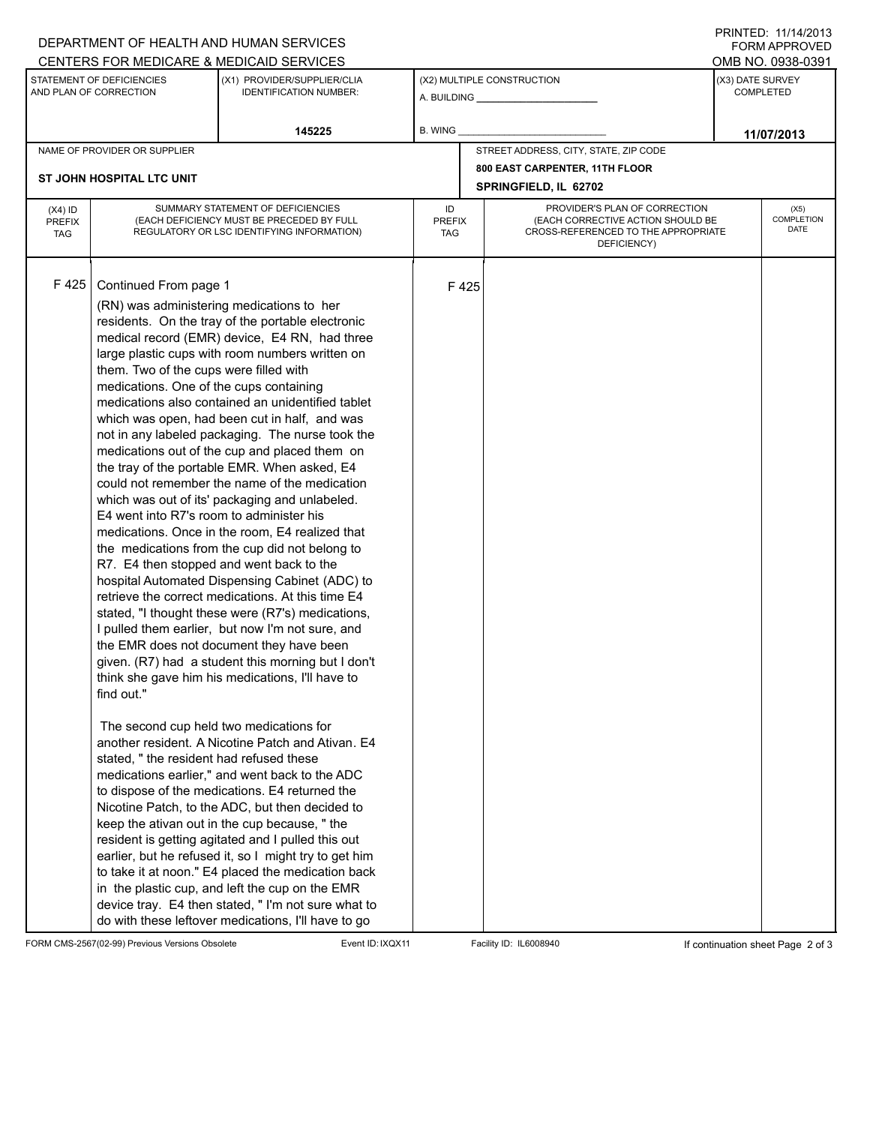## A. BUILDING **\_\_\_\_\_\_\_\_\_\_\_\_\_\_\_\_\_\_\_\_\_\_** (X1) PROVIDER/SUPPLIER/CLIA IDENTIFICATION NUMBER: STATEMENT OF DEFICIENCIES AND PLAN OF CORRECTION (X3) DATE SURVEY COMPLETED FORM APPROVED (X2) MULTIPLE CONSTRUCTION **B. WING** CENTERS FOR MEDICARE & MEDICAID SERVICES **And CENTERS FOR MEDICAL ACCESS** OMB NO. 0938-0391 **145225 146225 12. WING 14/07/2013** NAME OF PROVIDER OR SUPPLIER STREET ADDRESS, CITY, STATE, ZIP CODE **800 EAST CARPENTER, 11TH FLOOR ST JOHN HOSPITAL LTC UNIT SPRINGFIELD, IL 62702** PROVIDER'S PLAN OF CORRECTION (EACH CORRECTIVE ACTION SHOULD BE CROSS-REFERENCED TO THE APPROPRIATE DEFICIENCY) (X5) **COMPLETION** DATE ID PREFIX TAG (X4) ID PREFIX TAG SUMMARY STATEMENT OF DEFICIENCIES (EACH DEFICIENCY MUST BE PRECEDED BY FULL REGULATORY OR LSC IDENTIFYING INFORMATION) F 425 Continued From page 1 F 425 (RN) was administering medications to her residents. On the tray of the portable electronic medical record (EMR) device, E4 RN, had three large plastic cups with room numbers written on them. Two of the cups were filled with medications. One of the cups containing medications also contained an unidentified tablet which was open, had been cut in half, and was not in any labeled packaging. The nurse took the medications out of the cup and placed them on the tray of the portable EMR. When asked, E4 could not remember the name of the medication which was out of its' packaging and unlabeled. E4 went into R7's room to administer his medications. Once in the room, E4 realized that the medications from the cup did not belong to R7. E4 then stopped and went back to the hospital Automated Dispensing Cabinet (ADC) to retrieve the correct medications. At this time E4 stated, "I thought these were (R7's) medications, I pulled them earlier, but now I'm not sure, and the EMR does not document they have been given. (R7) had a student this morning but I don't think she gave him his medications, I'll have to find out." The second cup held two medications for another resident. A Nicotine Patch and Ativan. E4 stated, " the resident had refused these medications earlier," and went back to the ADC to dispose of the medications. E4 returned the Nicotine Patch, to the ADC, but then decided to keep the ativan out in the cup because, " the resident is getting agitated and I pulled this out earlier, but he refused it, so I might try to get him to take it at noon." E4 placed the medication back in the plastic cup, and left the cup on the EMR device tray. E4 then stated, " I'm not sure what to do with these leftover medications, I'll have to go

FORM CMS-2567(02-99) Previous Versions Obsolete Event ID: IXQX11 Facility ID: IL6008940 If continuation sheet Page 2 of 3

DEPARTMENT OF HEALTH AND HUMAN SERVICES

PRINTED: 11/14/2013